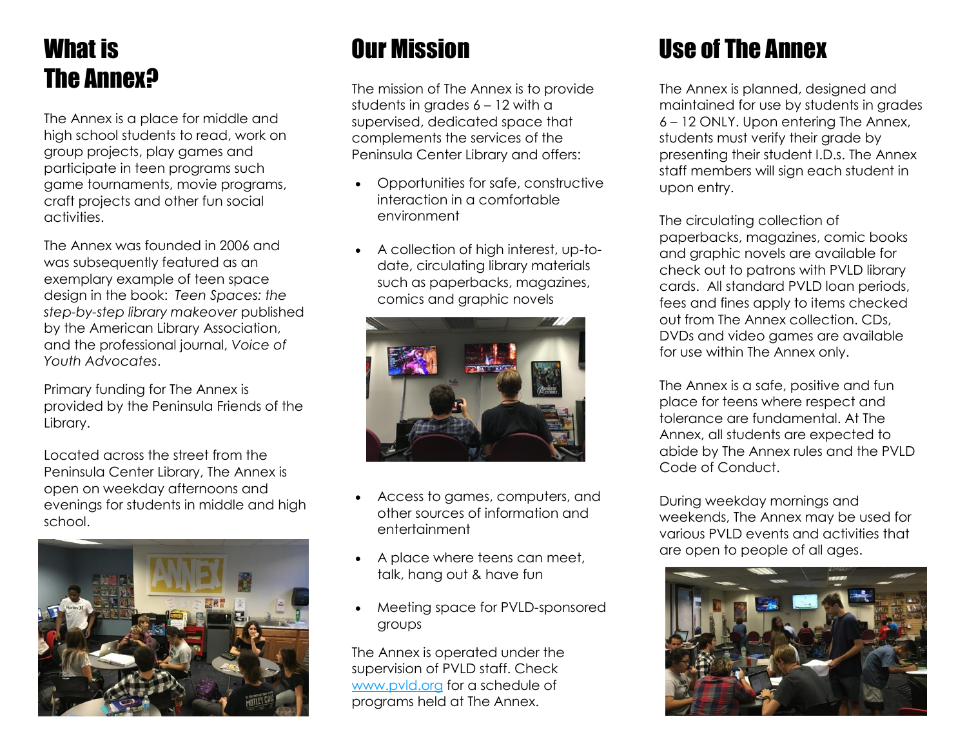## What is The Annex?

The Annex is a place for middle and high school students to read, work on group projects, play games and participate in teen programs such game tournaments, movie programs, craft projects and other fun social activities.

The Annex was founded in 2006 and was subsequently featured as an exemplary example of teen space design in the book: *Teen Spaces: the step-by-step library makeover* published by the American Library Association, and the professional journal, *Voice of Youth Advocates*.

Primary funding for The Annex is provided by the Peninsula Friends of the Library.

Located across the street from the Peninsula Center Library, The Annex is open on weekday afternoons and evenings for students in middle and high school.



### Our Mission

The mission of The Annex is to provide students in grades 6 – 12 with a supervised, dedicated space that complements the services of the Peninsula Center Library and offers:

- Opportunities for safe, constructive interaction in a comfortable environment
- A collection of high interest, up-todate, circulating library materials such as paperbacks, magazines, comics and graphic novels



- Access to games, computers, and other sources of information and entertainment
- A place where teens can meet, talk, hang out & have fun
- Meeting space for PVLD-sponsored groups

The Annex is operated under the supervision of PVLD staff. Check [www.pvld.org](http://www.pvld.org/) for a schedule of programs held at The Annex.

## Use of The Annex

The Annex is planned, designed and maintained for use by students in grades 6 – 12 ONLY. Upon entering The Annex, students must verify their grade by presenting their student I.D.s. The Annex staff members will sign each student in upon entry.

The circulating collection of paperbacks, magazines, comic books and graphic novels are available for check out to patrons with PVLD library cards. All standard PVLD loan periods, fees and fines apply to items checked out from The Annex collection. CDs, DVDs and video games are available for use within The Annex only.

The Annex is a safe, positive and fun place for teens where respect and tolerance are fundamental. At The Annex, all students are expected to abide by The Annex rules and the PVLD Code of Conduct.

During weekday mornings and weekends, The Annex may be used for various PVLD events and activities that are open to people of all ages.